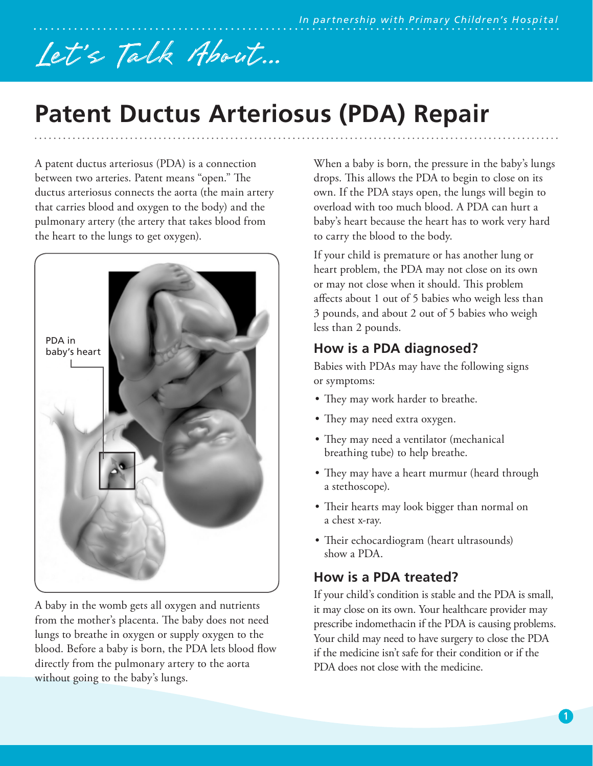# Let 's Talk About...

# **Patent Ductus Arteriosus (PDA) Repair**

A patent ductus arteriosus (PDA) is a connection between two arteries. Patent means "open." The ductus arteriosus connects the aorta (the main artery that carries blood and oxygen to the body) and the pulmonary artery (the artery that takes blood from the heart to the lungs to get oxygen).



A baby in the womb gets all oxygen and nutrients from the mother's placenta. The baby does not need lungs to breathe in oxygen or supply oxygen to the blood. Before a baby is born, the PDA lets blood flow directly from the pulmonary artery to the aorta without going to the baby's lungs.

When a baby is born, the pressure in the baby's lungs drops. This allows the PDA to begin to close on its own. If the PDA stays open, the lungs will begin to overload with too much blood. A PDA can hurt a baby's heart because the heart has to work very hard to carry the blood to the body.

If your child is premature or has another lung or heart problem, the PDA may not close on its own or may not close when it should. This problem affects about 1 out of 5 babies who weigh less than 3 pounds, and about 2 out of 5 babies who weigh less than 2 pounds.

#### **How is a PDA diagnosed?**

Babies with PDAs may have the following signs or symptoms:

- They may work harder to breathe.
- They may need extra oxygen.
- They may need a ventilator (mechanical breathing tube) to help breathe.
- They may have a heart murmur (heard through a stethoscope).
- Their hearts may look bigger than normal on a chest x-ray.
- Their echocardiogram (heart ultrasounds) show a PDA.

## **How is a PDA treated?**

If your child's condition is stable and the PDA is small, it may close on its own. Your healthcare provider may prescribe indomethacin if the PDA is causing problems. Your child may need to have surgery to close the PDA if the medicine isn't safe for their condition or if the PDA does not close with the medicine.